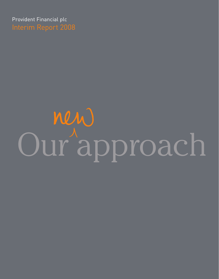Provident Financial plc

# new<br>Our approach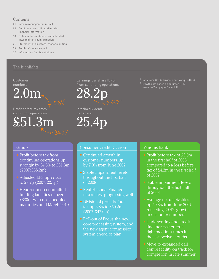#### Contents

- 01 Interim management report
- 06 Condensed consolidated interim financial information
- 10 Notes to the condensed consolidated interim financial information
- 23 Statement of directors' responsibilities
- 24 Auditors' review report
- 25 Information for shareholders

Customer numbers 1

2.0m

continuing operations

£51.3m

Earnings per share (EPS) from continuing operations



Interim dividend per share 25.4p

<sup>1</sup> Consumer Credit Division and Vanquis Bank  $^{2}$  Growth rate based on adjusted EPS (see note 7 on pages 16 and 17)

# Group

- Profit before tax from continuing operations up strongly by 34.3% to £51.3m (2007: £38.2m)
- Adjusted EPS up 27.6% to 28.2p (2007: 22.1p)
- Headroom on committed funding facilities of over £380m, with no scheduled maturities until March 2010

#### Consumer Credit Division

- Continued growth in customer numbers, up by 7.0% from June 2007
- Stable impairment levels throughout the first half of 2008
- Real Personal Finance market test progressing well
- Divisional profit before tax up 6.8% to £50.2m (2007: £47.0m)
- Roll-out of Focus, the new core processing system, and the new agent commission system ahead of plan

#### Vanquis Bank

- Profit before tax of £3.0m in the first half of 2008, compared to a loss before tax of £4.2m in the first half of 2007
- Stable impairment levels throughout the first half of 2008
- Average net receivables up 50.3% from June 2007 reflecting 29.4% growth in customer numbers
- Underwriting and credit line increase criteria tightened four times in the last twelve months
- Move to expanded call centre facility on track for completion in late summer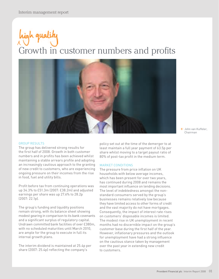# high quality<br>Growth in customer numbers and profits



 John van Kuffeler, Chairman

#### GROUP RESULTS

The group has delivered strong results for the first half of 2008. Growth in both customer numbers and in profits has been achieved whilst maintaining a stable arrears profile and adopting an increasingly cautious approach to the granting of new credit to customers, who are experiencing ongoing pressure on their incomes from the rise in food, fuel and utility bills.

Profit before tax from continuing operations was up 34.3% to £51.3m (2007: £38.2m) and adjusted earnings per share was up 27.6% to 28.2p (2007: 22.1p).

The group's funding and liquidity positions remain strong, with its balance sheet showing modest gearing in comparison to its bank covenants and a significant surplus of regulatory capital. Undrawn committed bank facilities of over £380m, with no scheduled maturities until March 2010, are ample for the group to execute in full its internal growth plans.

The interim dividend is maintained at 25.4p per share (2007: 25.4p) reflecting the company's

policy set out at the time of the demerger to at least maintain a full year payment of 63.5p per share whilst moving to a target payout ratio of 80% of post-tax profit in the medium term.

#### MARKET CONDITIONS

The pressure from price inflation on UK households with below average incomes, which has been present for over two years, has continued during 2008 and remains the most important influence on lending decisions. The level of indebtedness amongst the nonstandard consumers served by the group's businesses remains relatively low because they have limited access to other forms of credit and the vast majority do not have mortgages. Consequently, the impact of interest rate rises on customers' disposable incomes is limited. The modest rise in UK unemployment in recent months had no discernible impact on the group's customer base during the first half of the year. However, inflationary pressures and the outlook for unemployment have had a strong influence on the cautious stance taken by management over the past year in extending new credit to customers.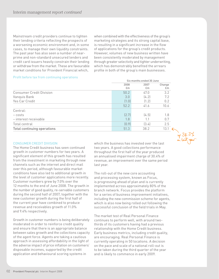Mainstream credit providers continue to tighten their lending criteria reflecting the prospects of a worsening economic environment and, in some cases, to manage their own liquidity constraints. The past year has also seen a number of nearprime and non-standard unsecured lenders and credit card issuers heavily constrain their lending or withdraw from the market. These are favourable market conditions for Provident Financial which,

when combined with the effectiveness of the group's marketing strategies and its strong capital base, is resulting in a significant increase in the flow of applications for the group's credit products. However, volumes of new business written have been consistently moderated by management through greater selectivity and tighter underwriting, which has demonstrably benefited the arrears profile in both of the group's main businesses.

Six months ended 30 June

ùp 34:3%<br>on last year

#### Profit before tax from continuing operations

|                                 |  | 2008<br>£m | 2007  | Change |
|---------------------------------|--|------------|-------|--------|
|                                 |  |            | £m    | £m     |
| <b>Consumer Credit Division</b> |  | 50.2       | 47.0  | 3.2    |
| Vanquis Bank                    |  | 3.0        | (4.2) | 7.2    |
| Yes Car Credit                  |  | (1.0)      | (1.2) | 0.2    |
|                                 |  | 52.2       | 41.6  | 10.6   |
| Central:                        |  |            |       |        |
| - costs                         |  | [2.7]      | (4.5) | 1.8    |
| - interest receivable           |  | 1.8        | 1.1   | 0.7    |
| Total central                   |  | [0.9]      | (3.4) | 2.5    |
| Total continuing operations     |  | 51.3       | 38.2  | 13.1   |
|                                 |  |            |       |        |

#### CONSUMER CREDIT DIVISION

The Home Credit business has seen continued growth in customer numbers for two years. A significant element of this growth has resulted from the investment in marketing through new channels such as the internet and direct mail over this period, although favourable market conditions have also led to additional growth in the level of customer applications more recently. Customer numbers grew by 7.0% over the 12 months to the end of June 2008. The growth in the number of good quality, re-servable customers during the second half of 2007, together with the new customer growth during the first half of the current year have combined to produce revenue and receivables growth of 11.0% and 9.4% respectively.

Growth in customer numbers is being deliberately moderated in order to reinforce credit quality and ensure that there is an appropriate balance between sales growth and the collections capacity of the agent force. Agents are taking a cautious approach in assessing affordability in the light of the adverse impact of price inflation on customers' disposable incomes, supported by the credit application and behavioural scoring systems in

which the business has invested over the last two years. A good collections performance throughout the first half of the year produced an annualised impairment charge of 30.4% of revenue, an improvement over the same period last year.

The roll-out of the new core accounting and processing system, known as Focus, is progressing ahead of plan and is currently implemented across approximately 80% of the branch network. Focus provides the platform for a series of business improvement initiatives, including the new commission scheme for agents, which is also now being rolled out following the successful conclusion of the field trials in May.

The market test of Real Personal Finance continues to perform well, with around twothirds of its customers having had a previous relationship with the Home Credit business. Early business metrics, including credit quality, are encouraging. Real Personal Finance is currently operating in 50 locations. A decision on the pace and scale of a national roll-out is to be taken during the third quarter of the year and is likely to commence in early 2009.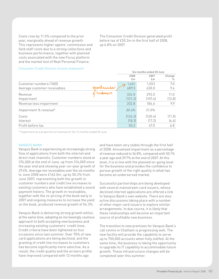Costs rose by 11.5% compared to the prior year, marginally ahead of revenue growth. This represents higher agents' commission and field staff costs due to a strong collections and business performance, together with planned costs associated with the new Focus platform and the market test of Real Personal Finance.

The Consumer Credit Division generated profit before tax of £50.2m in the first half of 2008, up 6.8% on 2007.

#### Consumer Credit Division income statement

|                                               | Six months ended 30 June |         |        |  |
|-----------------------------------------------|--------------------------|---------|--------|--|
|                                               | 2008                     | 2007    | Change |  |
|                                               | Em                       | Em      | $\%$   |  |
| Customer numbers ('000)                       | 1,661                    | 1.553   | 7.0    |  |
| record number<br>Average customer receivables | 689.5                    | 630.0   | 9.4    |  |
| Customers<br>Revenue                          | 324.0                    | 292.0   | 11.0   |  |
| Impairment                                    | (121.2)                  | (107.4) | (12.8) |  |
| Revenue less impairment                       | 202.8                    | 184.6   | 9.9    |  |
| Impairment % revenue*                         | 30.4%                    | 31.0%   |        |  |
| Costs                                         | (134.3)                  | (120.4) | (11.5) |  |
| Interest                                      | (18.3)                   | (17.2)  | (6.4)  |  |
| Profit before tax                             | 50.2                     | 47.0    | 6.8    |  |

\* Impairment as a proportion of revenue for the 12 months ended 30 June.

#### VANQUIS BANK

Vanquis Bank is experiencing an increasingly strong flow of applications from both the internet and direct mail channels. Customer numbers stood at 374,000 at the end of June, up from 316,000 since the year end and showing year-on-year growth of 29.4%. Average net receivables over the six months to June 2008 were £162.0m, up by 50.3% from June 2007, representing both the growth in customer numbers and credit line increases to existing customers who have established a sound payment history. The growth in receivables, together with the re-pricing of the book early in 2007 and ongoing measures to increase the yield on the book, produced revenue growth of 54.3%.

Vanquis Bank is delivering strong growth whilst, at the same time, adopting an increasingly cautious approach to both accepting new business and increasing existing customers' credit lines. Credit criteria have been tightened on four occasions since last summer. Over 70% of new card applications are being declined, and the granting of credit line increases to customers has become significantly more selective. As a result, the credit quality and the arrears profile have improved compared with 12 months ago

and have been very stable through the first half of 2008. Annualised impairment as a percentage of revenue reduced to 36.8%, compared with 50.1% a year ago and 39.7% at the end of 2007. At this level, it is in line with the planned on-going level for the business and provides the confidence to pursue growth of the right quality in what has become an underserved market.

Successful partnerships are being developed with several mainstream card issuers, whose declined internet applications are offered a link to Vanquis Bank's own website. There are also active discussions taking place with a number of other major card issuers to explore similar arrangements. In due course, it is likely that these relationships will become an important source of profitable new business.

The transition to new premises for Vanquis Bank's call centre in Chatham is progressing well. The new facility will provide the capability to serve up to 750,000 accounts when fully staffed. At the same time, the business is taking the opportunity to upgrade its IT capability to accommodate future growth. These infrastructure changes will be completed later this summer.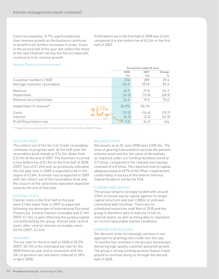Costs increased by 15.7%, significantly less than revenue growth as the business continues to benefit from further increases in scale. Costs in the second half of the year will reflect the move to the new Chatham facility, but the increase will continue to trail revenue growth.

Profit before tax in the first half of 2008 was £3.0m, compared to a loss before tax of £4.2m in the first half of 2007.

Six months ended 30 June

#### Vanquis Bank income statement

|                              | 2008<br>Em | 2007<br>£m | Change<br>$\frac{0}{0}$ |
|------------------------------|------------|------------|-------------------------|
| Customer numbers ('000)      | 374        | 289        | 29.4                    |
| Average customer receivables | 162.0      | 107.8      | 50.3                    |
| Revenue                      | 42.9       | 27.8       | 54.3                    |
| Impairment                   | (16.5)     | (12.8)     | (28.9)                  |
| Revenue less impairment      | 26.4       | 15.0       | 76.0                    |
| Impairment % revenue*        | 36.8%      | 50.1%      |                         |
| up £7.2m<br>Costs            | (19.2)     | (16.6)     | (15.7)                  |
| Interest                     | (4.2)      | (2.6)      | (61.5)                  |
| Profit/(loss) before tax     | 3.0        | (4.2)      | n/a                     |
|                              |            |            |                         |

\* Impairment as a proportion of revenue for the 12 months ended 30 June.

#### YES CAR CREDIT

The collect-out of the Yes Car Credit receivables continues to progress well. At the half-year the receivables book stands at £16.3m, down from £33.3m at the end of 2007. The business incurred a loss before tax of £1.0m in the first half of 2008 (2007: loss of £1.2m) and, as previously indicated, the full year loss in 2008 is expected to be in the region of £3.0m. A similar loss is expected in 2009 with full collect-out of the receivables book and the closure of the collections operation expected towards the end of that year.

#### CENTRAL COSTS

Central costs in the first half of the year were £1.8m lower than in 2007 as expected following the demerger of International Personal Finance plc. Central interest receivable was £1.8m (2007: £1.1m), in part reflecting the surplus capital currently held by the group. Overall total central costs, after central interest receivable, were £0.9m (2007: £3.4m).

#### TAXATION

The tax rate for the first half of 2008 of 28.5% (2007: 30.1%) is the estimated tax rate for the 2008 financial year and is consistent with the UK corporation tax rate which reduced to 28% in April 2008.

#### BALANCE SHEET

Net assets as at 30 June 2008 were £280.3m. The level of gearing (calculated to exclude the pension scheme asset and the fair value of derivatives, as required under our funding facilities) stood at 2.9 times, compared to the relevant borrowings covenant of 6.0 times. The reported level of capital adequacy stood at 457% of the Pillar I requirement, comfortably in excess of the Interim Internal Capital Guidance set by the FSA.

#### FUNDING AND CAPITAL

The group remains strongly funded with around £70m of excess equity capital against its target capital structure and over £380m of undrawn committed debt facilities. There are no scheduled maturities until March 2010 and the group is therefore able to execute in full its internal plans, as well as being able to capitalise on current favourable market conditions.

#### SUMMARY AND OUTLOOK

Our decision to be increasingly cautious in our approach to granting new credit over the last 12 months has resulted in the group's businesses delivering high-quality customer and profit growth. The group's strong funding position leaves it well placed to continue doing so through the second half of 2008.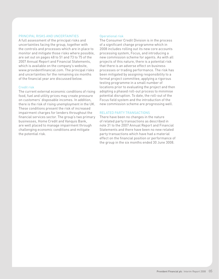#### PRINCIPAL RISKS AND UNCERTAINTIES

A full assessment of the principal risks and uncertainties facing the group, together with the controls and processes which are in place to monitor and mitigate those risks where possible, are set out on pages 48 to 51 and 73 to 75 of the 2007 Annual Report and Financial Statements, which is available on the company's website, www.providentfinancial.com. The principal risks and uncertainties for the remaining six months of the financial year are discussed below.

#### Credit risk

The current external economic conditions of rising food, fuel and utility prices may create pressure on customers' disposable incomes. In addition, there is the risk of rising unemployment in the UK. These conditions present the risk of increased impairment charges for lenders throughout the financial services sector. The group's two primary businesses, Home Credit and Vanquis Bank, are well placed to manage impairment through challenging economic conditions and mitigate the potential risk.

#### Operational risk

The Consumer Credit Division is in the process of a significant change programme which in 2008 includes rolling out its new core accounts processing system, Focus, and introducing a new commission scheme for agents. As with all projects of this nature, there is a potential risk that there is an adverse effect on business processes or trading performance. The risk has been mitigated by assigning responsibility to a formal project committee, applying a rigorous testing programme in a small number of locations prior to evaluating the project and then adopting a phased roll-out process to minimise potential disruption. To date, the roll-out of the Focus field system and the introduction of the new commission scheme are progressing well.

#### RELATED PARTY TRANSACTIONS

There have been no changes in the nature of related party transactions as described in note 31 to the 2007 Annual Report and Financial Statements and there have been no new related party transactions which have had a material effect on the financial position or performance of the group in the six months ended 30 June 3008.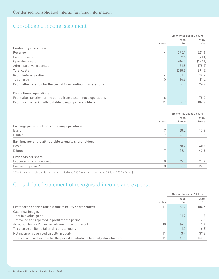# Consolidated income statement

|                                                                   |              | Six months ended 30 June |         |
|-------------------------------------------------------------------|--------------|--------------------------|---------|
|                                                                   |              | 2008                     | 2007    |
|                                                                   | <b>Notes</b> | Em                       | £m      |
| <b>Continuing operations</b>                                      |              |                          |         |
| Revenue                                                           | 4            | 370.1                    | 329.8   |
| Finance costs                                                     |              | [22.6]                   | (21.1)  |
| Operating costs                                                   |              | (204.4)                  | (192.1) |
| Administrative expenses                                           |              | (91.8)                   | (78.4)  |
| Total costs                                                       |              | [318.8]                  | [291.6] |
| Profit before taxation                                            | 4            | 51.3                     | 38.2    |
| Tax charge                                                        | 5            | (14.6)                   | (11.5)  |
| Profit after taxation for the period from continuing operations   |              | 36.7                     | 26.7    |
|                                                                   |              |                          |         |
| Discontinued operations                                           |              |                          |         |
| Profit after taxation for the period from discontinued operations | 6            |                          | 78.0    |
| Profit for the period attributable to equity shareholders         | 11           | 36.7                     | 104.7   |

|                                                        |              |               | Six months ended 30 June |
|--------------------------------------------------------|--------------|---------------|--------------------------|
|                                                        | <b>Notes</b> | 2008<br>Pence | 2007<br>Pence            |
| Earnings per share from continuing operations          |              |               |                          |
| <b>Basic</b>                                           | 7            | 28.2          | 10.4                     |
| Diluted                                                | 7            | 28.1          | 10.3                     |
| Earnings per share attributable to equity shareholders |              |               |                          |
| <b>Basic</b>                                           | 7            | 28.2          | 40.9                     |
| Diluted                                                | 7            | 28.1          | 40.6                     |
| Dividends per share                                    |              |               |                          |
| Proposed interim dividend                              | 8            | 25.4          | 25.4                     |
| Paid in the period*                                    | 8            | 38.1          | 22.0                     |

\* The total cost of dividends paid in the period was £50.0m (six months ended 30 June 2007: £56.4m)

# Consolidated statement of recognised income and expense

|                                                                                  |            | Six months ended 30 June |
|----------------------------------------------------------------------------------|------------|--------------------------|
| <b>Notes</b>                                                                     | 2008<br>£m | 2007<br>£m               |
| 11<br>Profit for the period attributable to equity shareholders                  | 36.7       | 104.7                    |
| Cash flow hedges:                                                                |            |                          |
| - net fair value gains                                                           | 11.2       | 1.9                      |
| - recycled and reported in profit for the period                                 |            | 2.8                      |
| Actuarial (losses)/gains on retirement benefit asset<br>10                       | (6.5)      | 51.4                     |
| Tax charge on items taken directly to equity                                     | (1.3)      | [16.8]                   |
| Net income recognised directly in equity<br>11                                   | 3.4        | 39.3                     |
| Total recognised income for the period attributable to equity shareholders<br>11 | 40.1       | 144.0                    |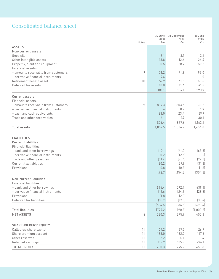# Consolidated balance sheet

|                                     | 30 June<br>2008 | 31 December<br>2007      | 30 June<br>2007 |
|-------------------------------------|-----------------|--------------------------|-----------------|
| <b>Notes</b>                        | £m              | Em                       | £m              |
| <b>ASSETS</b>                       |                 |                          |                 |
| Non-current assets                  |                 |                          |                 |
| Goodwill                            | 3.1             | 3.1                      | 3.1             |
| Other intangible assets             | 13.8            | 12.6                     | 26.4            |
| Property, plant and equipment       | 30.5            | 28.7                     | 57.2            |
| Financial assets:                   |                 |                          |                 |
| - amounts receivable from customers | 9<br>58.2       | 71.8                     | 93.0            |
| - derivative financial instruments  | 7.6             | $\overline{\phantom{a}}$ | 1.0             |
| Retirement benefit asset<br>10      | 57.9            | 61.5                     | 68.6            |
| Deferred tax assets                 | 10.0            | 11.4                     | 41.6            |
|                                     | 181.1           | 189.1                    | 290.9           |
| Current assets                      |                 |                          |                 |
| Financial assets:                   |                 |                          |                 |
| - amounts receivable from customers | 9<br>837.3      | 853.6                    | 1,061.2         |
| - derivative financial instruments  |                 | 0.7                      | 1.9             |
| - cash and cash equivalents         | 23.0            | 23.4                     | 69.9            |
| Trade and other receivables         | 16.1            | 19.9                     | 30.1            |
|                                     | 876.4           | 897.6                    | 1,163.1         |
| <b>Total assets</b>                 | 1,057.5         | 1,086.7                  | 1,454.0         |
|                                     |                 |                          |                 |
| <b>LIABILITIES</b>                  |                 |                          |                 |
| <b>Current liabilities</b>          |                 |                          |                 |
| Financial liabilities:              |                 |                          |                 |
| - bank and other borrowings         | (10.1)          | (41.0)                   | (165.8)         |
| - derivative financial instruments  | (0.2)           | (12.5)                   | (13.6)          |
| Trade and other payables            | (51.4)          | (70.1)                   | (92.8)          |
| Current tax liabilities             | (30.2)          | (29.9)                   | [31.3]          |
| Provisions                          | [0.8]           | (0.8)                    | (1.3)           |
|                                     | (92.7)          | (154.3)                  | (304.8)         |
|                                     |                 |                          |                 |
| Non-current liabilities             |                 |                          |                 |
| Financial liabilities:              |                 |                          |                 |
| - bank and other borrowings         | (644.4)         | (592.7)                  | (639.4)         |
| - derivative financial instruments  | (19.6)          | [24.3]                   | (28.6)          |
| Provisions                          | (1.8)           | (2.0)                    |                 |
| Deferred tax liabilities            | (18.7)          | (17.5)                   | (30.4)          |
|                                     | (684.5)         | (636.5)                  | (698.4)         |
| <b>Total liabilities</b>            | (777.2)         | (790.8)                  | (1,003.2)       |
| <b>NET ASSETS</b>                   | 4<br>280.3      | 295.9                    | 450.8           |
|                                     |                 |                          |                 |
| SHAREHOLDERS' EQUITY                |                 |                          |                 |
| Called-up share capital<br>11       | 27.2            | 27.2                     | 26.7            |
| 11<br>Share premium account         | 133.0           | 132.7                    | 117.6           |
| Other reserves<br>11                | 2.2             | 0.1                      | 10.4            |
| Retained earnings<br>11             | 117.9           | 135.9                    | 296.1           |
| <b>TOTAL EQUITY</b><br>11           | 280.3           | 295.9                    | 450.8           |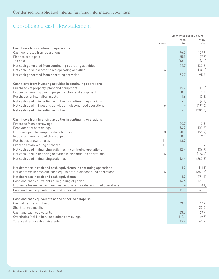# Consolidated cash flow statement

|                                                                           |                          | Six months ended 30 June |
|---------------------------------------------------------------------------|--------------------------|--------------------------|
|                                                                           | 2008                     | 2007                     |
| <b>Notes</b>                                                              | £m                       | £m                       |
| Cash flows from continuing operations                                     |                          |                          |
| Cash generated from operations                                            | 96.5                     | 159.9                    |
| Finance costs paid                                                        | [25.8]                   | [27.7]                   |
| Tax paid                                                                  | (13.0)                   | (2.0)                    |
| Net cash generated from continuing operating activities                   | 57.7                     | 130.2                    |
| Net cash used in discontinued operating activities<br>6                   |                          | [34.3]                   |
| Net cash generated from operating activities                              | 57.7                     | 95.9                     |
|                                                                           |                          |                          |
| Cash flows from investing activities in continuing operations             |                          |                          |
| Purchases of property, plant and equipment                                | (5.7)                    | (1.0)                    |
| Proceeds from disposal of property, plant and equipment                   | 0.3                      | 0.2                      |
| Purchases of intangible assets                                            | [1.6]                    | (3.8)                    |
| Net cash used in investing activities in continuing operations            | (7.0)                    | [4.6]                    |
| Net cash used in investing activities in discontinued operations<br>6     |                          | (199.0)                  |
| Net cash used in investing activities                                     | (7.0)                    | [203.6]                  |
|                                                                           |                          |                          |
| Cash flows from financing activities in continuing operations             |                          |                          |
| Proceeds from borrowings                                                  | 60.7                     | 12.5                     |
| Repayment of borrowings                                                   | [54.7]                   | (100.2)                  |
| Dividends paid to company shareholders<br>8                               | (50.0)                   | [56.4]                   |
| Proceeds from issue of share capital                                      | 0.3                      | 7.0                      |
| Purchases of own shares<br>11                                             | [8.7]                    |                          |
| Proceeds from vesting of shares<br>11                                     |                          | $0.4^{\circ}$            |
| Net cash used in financing activities in continuing operations            | [52.4]                   | (136.7)                  |
| Net cash used in financing activities in discontinued operations<br>6     | L.                       | (126.9)                  |
| Net cash used in financing activities                                     | (52.4)                   | [263.6]                  |
|                                                                           |                          |                          |
| Net decrease in cash and cash equivalents in continuing operations        | (1.7)                    | (11.1)                   |
| Net decrease in cash and cash equivalents in discontinued operations<br>6 | $\overline{\phantom{a}}$ | [360.2]                  |
| Net decrease in cash and cash equivalents                                 | (1.7)                    | [371.3]                  |
| Cash and cash equivalents at beginning of period                          | 14.6                     | 431.6                    |
| Exchange losses on cash and cash equivalents - discontinued operations    |                          | [0.1]                    |
| Cash and cash equivalents at end of period                                | 12.9                     | 60.2                     |
|                                                                           |                          |                          |
| Cash and cash equivalents at end of period comprise:                      |                          |                          |
| Cash at bank and in hand                                                  | 23.0                     | 47.9                     |
| Short-term deposits                                                       |                          | 22.0                     |
| Cash and cash equivalents                                                 | 23.0                     | 69.9                     |
| Overdrafts (held in bank and other borrowings)                            | (10.1)                   | (9.7)                    |
| Total cash and cash equivalents                                           | 12.9                     | 60.2                     |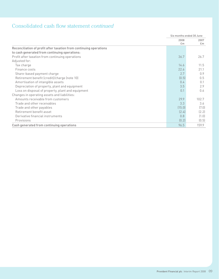# Consolidated cash flow statement *continued*

|                                                                    |            | Six months ended 30 June |
|--------------------------------------------------------------------|------------|--------------------------|
|                                                                    | 2008<br>Em | 2007<br>£m               |
| Reconciliation of profit after taxation from continuing operations |            |                          |
| to cash generated from continuing operations:                      |            |                          |
| Profit after taxation from continuing operations                   | 36.7       | 26.7                     |
| Adjusted for:                                                      |            |                          |
| Tax charge                                                         | 14.6       | 11.5                     |
| Finance costs                                                      | 22.6       | 21.1                     |
| Share-based payment charge                                         | 2.7        | 0.9                      |
| Retirement benefit (credit)/charge (note 10)                       | [0.5]      | 0.5                      |
| Amortisation of intangible assets                                  | 0.4        | 0.1                      |
| Depreciation of property, plant and equipment                      | 3.5        | 2.9                      |
| Loss on disposal of property, plant and equipment                  | 0.1        | 0.6                      |
| Changes in operating assets and liabilities:                       |            |                          |
| Amounts receivable from customers                                  | 29.9       | 102.7                    |
| Trade and other receivables                                        | 3.3        | 3.6                      |
| Trade and other payables                                           | (15.0)     | (7.0)                    |
| Retirement benefit asset                                           | (2.4)      | [2.2]                    |
| Derivative financial instruments                                   | 0.8        | (1.0)                    |
| Provisions                                                         | [0.2]      | (0.5)                    |
| Cash generated from continuing operations                          | 96.5       | 159.9                    |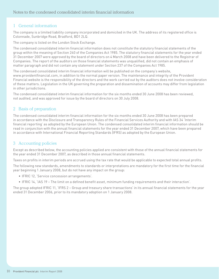# 1 General information

The company is a limited liability company incorporated and domiciled in the UK. The address of its registered office is Colonnade, Sunbridge Road, Bradford, BD1 2LQ.

The company is listed on the London Stock Exchange.

The condensed consolidated interim financial information does not constitute the statutory financial statements of the group within the meaning of Section 240 of the Companies Act 1985. The statutory financial statements for the year ended 31 December 2007 were approved by the board of directors on 4 March 2008 and have been delivered to the Registrar of Companies. The report of the auditors on those financial statements was unqualified, did not contain an emphasis of matter paragraph and did not contain any statement under Section 237 of the Companies Act 1985.

The condensed consolidated interim financial information will be published on the company's website, www.providentfinancial.com, in addition to the normal paper version. The maintenance and integrity of the Provident Financial website is the responsibility of the directors and the work carried out by the auditors does not involve consideration of these matters. Legislation in the UK governing the preparation and dissemination of accounts may differ from legislation in other jurisdictions.

The condensed consolidated interim financial information for the six months ended 30 June 2008 has been reviewed, not audited, and was approved for issue by the board of directors on 30 July 2008.

# 2 Basis of preparation

The condensed consolidated interim financial information for the six months ended 30 June 2008 has been prepared in accordance with the Disclosure and Transparency Rules of the Financial Services Authority and with IAS 34 'Interim financial reporting' as adopted by the European Union. The condensed consolidated interim financial information should be read in conjunction with the annual financial statements for the year ended 31 December 2007, which have been prepared in accordance with International Financial Reporting Standards (IFRS) as adopted by the European Union.

# 3 Accounting policies

Except as described below, the accounting policies applied are consistent with those of the annual financial statements for the year ended 31 December 2007, as described in those annual financial statements.

Taxes on profits in interim periods are accrued using the tax rate that would be applicable to expected total annual profits.

The following new standards, amendments to standards or interpretations are mandatory for the first time for the financial year beginning 1 January 2008, but do not have any impact on the group:

- IFRIC 12, 'Service concession arrangements'.
- IFRIC 14, 'IAS 19 The limit on a defined benefit asset, minimum funding requirements and their interaction'.

The group adopted IFRIC 11, 'IFRS 2 – Group and treasury share transactions' in its annual financial statements for the year ended 31 December 2006, prior to its mandatory adoption on 1 January 2008.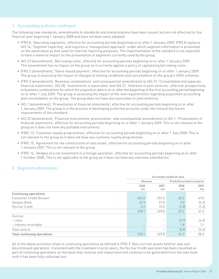# 3 Accounting policies *continued*

The following new standards, amendments to standards and interpretations have been issued, but are not effective for the financial year beginning 1 January 2008 and have not been early adopted:

- IFRS 8, 'Operating segments', effective for accounting periods beginning on or after 1 January 2009. IFRS 8 replaces IAS 14, 'Segment reporting', and requires a 'management approach' under which segment information is presented on the same basis as that used for internal reporting purposes. The implementation of the standard is not expected to have a material impact on the presentation of segments currently used by the group.
- IAS 23 (amendment), 'Borrowing costs', effective for accounting periods beginning on or after 1 January 2009. This amendment has no impact on the group as it currently applies a policy of capitalising borrowing costs.
- IFRS 2 (amendment), 'Share-based payment', effective for accounting periods beginning on or after 1 January 2009. The group is assessing the impact of changes to vesting conditions and cancellations on the group's SAYE schemes.
- IFRS 3 (amendment), 'Business combinations' and consequential amendments to IAS 27, 'Consolidated and separate financial statements', IAS 28, 'Investments in associates' and IAS 31, 'Interests in joint ventures', effective prospectively to business combinations for which the acquisition date is on or after the beginning of the first accounting period beginning on or after 1 July 2009. The group is assessing the impact of the new requirements regarding acquisition accounting and consolidation on the group. The group does not have any associates or joint ventures.
- IAS 1 (amendment), 'Presentation of financial statements', effective for accounting periods beginning on or after 1 January 2009. The group is in the process of developing proforma accounts under the revised disclosure requirements of this standard.
- IAS 32 (amendment), 'Financial instruments: presentation', and consequential amendments to IAS 1, 'Presentation of financial statements', effective for accounting periods beginning on or after 1 January 2009. This is not relevant to the group as it does not have any puttable instruments.
- IFRIC 13, 'Customer loyalty programmes', effective for accounting periods beginning on or after 1 July 2008. This is not relevant to the group as it does not have any customer loyalty programmes.
- IFRIC 15, 'Agreement for the construction of real estate', effective for accounting periods beginning on or after 1 January 2007. This is not relevant to the group.
- IFRIC 16, 'Hedges of a net investment in a foreign operation', effective for accounting periods beginning on or after 1 October 2008. This is not applicable to the group as it does not have any overseas subsidiaries.

# 4 Segment information

|                                    | Six months ended 30 June |                          |                               |       |      |      |
|------------------------------------|--------------------------|--------------------------|-------------------------------|-------|------|------|
|                                    | Revenue                  |                          | Profit/(loss) before taxation |       |      |      |
|                                    | 2008<br>2007             |                          |                               |       | 2008 | 2007 |
|                                    | £m                       | £m                       | £m                            | £m    |      |      |
| <b>Continuing operations</b>       |                          |                          |                               |       |      |      |
| <b>Consumer Credit Division</b>    | 324.0                    | 292.0                    | 50.2                          | 47.0  |      |      |
| Vanquis Bank                       | 42.9                     | 27.8                     | 3.0                           | (4.2) |      |      |
| Yes Car Credit                     | 3.2                      | 10.0                     | (1.0)                         | (1.2) |      |      |
|                                    | 370.1                    | 329.8                    | 52.2                          | 41.6  |      |      |
| Central:                           |                          |                          |                               |       |      |      |
| - costs                            |                          | -                        | (2.7)                         | (4.5) |      |      |
| - interest receivable              |                          | $\overline{\phantom{a}}$ | 1.8                           | 1.1   |      |      |
| Total central                      |                          | $\qquad \qquad -$        | [0.9]                         | (3.4) |      |      |
| <b>Total continuing operations</b> | 370.1                    | 329.8                    | 51.3                          | 38.2  |      |      |

All of the above activities relate to continuing operations as defined in IFRS 5 'Non-current assets held for sale and discontinued operations'. Consistent with the treatment in prior years, the Yes Car Credit operation has been classified as part of continuing operations on the basis that revenue and impairment will continue to be generated from the loan book until it has been fully collected-out.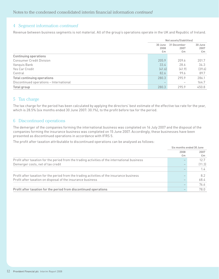# 4 Segment information *continued*

Revenue between business segments is not material. All of the group's operations operate in the UK and Republic of Ireland.

|                                         | Net assets/(liabilities) |                                                                           |                       |
|-----------------------------------------|--------------------------|---------------------------------------------------------------------------|-----------------------|
|                                         | 30 June<br>2008<br>£m    | 31 December<br>2007<br>£m                                                 | 30 June<br>2007<br>£m |
| <b>Continuing operations</b>            |                          |                                                                           |                       |
| <b>Consumer Credit Division</b>         | 205.9                    | 209.6                                                                     | 201.7                 |
| Vanguis Bank                            | 33.4                     | 28.6                                                                      | 34.3                  |
| Yes Car Credit                          | [41.6]                   | (41.9)                                                                    | (39.6)                |
| Central                                 | 82.6                     | 99.6                                                                      | 89.7                  |
| Total continuing operations             | 280.3                    | 295.9                                                                     | 286.1                 |
| Discontinued operations - International | $\qquad \qquad$          | $\hspace{1.0cm} \rule{1.5cm}{0.15cm} \hspace{1.0cm} \rule{1.5cm}{0.15cm}$ | 164.7                 |
| Total group                             | 280.3                    | 295.9                                                                     | 450.8                 |

# 5 Tax charge

The tax charge for the period has been calculated by applying the directors' best estimate of the effective tax rate for the year, which is 28.5% (six months ended 30 June 2007: 30.1%), to the profit before tax for the period.

#### 6 Discontinued operations

The demerger of the companies forming the international business was completed on 16 July 2007 and the disposal of the companies forming the insurance business was completed on 15 June 2007. Accordingly, these businesses have been presented as discontinued operations in accordance with IFRS 5.

The profit after taxation attributable to discontinued operations can be analysed as follows:

|                                                                                                | Six months ended 30 June |            |
|------------------------------------------------------------------------------------------------|--------------------------|------------|
|                                                                                                | 2008<br>Em               | 2007<br>£m |
| Profit after taxation for the period from the trading activities of the international business |                          | 12.7       |
| Demerger costs, net of tax credit                                                              |                          | (11.3)     |
|                                                                                                |                          | 1.4        |
| Profit after taxation for the period from the trading activities of the insurance business     |                          | 8.2        |
| Profit after taxation on disposal of the insurance business                                    |                          | 68.4       |
|                                                                                                |                          | 76.6       |
| Profit after taxation for the period from discontinued operations                              |                          | 78.0       |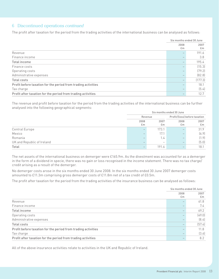## 6 Discontinued operations *continued*

The profit after taxation for the period from the trading activities of the international business can be analysed as follows:

|                                                               | Six months ended 30 June |            |
|---------------------------------------------------------------|--------------------------|------------|
|                                                               | 2008<br>£ <sub>m</sub>   | 2007<br>£m |
| Revenue                                                       |                          | 191.6      |
| Finance income                                                |                          | 3.8        |
| Total income                                                  |                          | 195.4      |
| Finance costs                                                 |                          | (15.3)     |
| Operating costs                                               |                          | (79.2)     |
| Administrative expenses                                       | -                        | [82.8]     |
| Total costs                                                   | $\qquad \qquad -$        | (177.3)    |
| Profit before taxation for the period from trading activities |                          | 18.1       |
| Tax charge                                                    |                          | (5.4)      |
| Profit after taxation for the period from trading activities  | $\qquad \qquad -$        | 12.7       |

The revenue and profit before taxation for the period from the trading activities of the international business can be further analysed into the following geographical segments:

|                            | Six months ended 30 June |                                 |                               |       |  |  |  |  |  |  |  |      |  |  |      |      |
|----------------------------|--------------------------|---------------------------------|-------------------------------|-------|--|--|--|--|--|--|--|------|--|--|------|------|
|                            | Revenue                  |                                 | Profit/(loss) before taxation |       |  |  |  |  |  |  |  |      |  |  |      |      |
|                            | 2008<br>£m               |                                 |                               |       |  |  |  |  |  |  |  | 2007 |  |  | 2008 | 2007 |
|                            |                          | £m                              | £m                            | £m    |  |  |  |  |  |  |  |      |  |  |      |      |
| Central Europe             |                          | 173.1                           |                               | 31.9  |  |  |  |  |  |  |  |      |  |  |      |      |
| Mexico                     |                          | 17.1                            |                               | (6.9) |  |  |  |  |  |  |  |      |  |  |      |      |
| Romania                    | -                        | 1.4                             |                               | (1.9) |  |  |  |  |  |  |  |      |  |  |      |      |
| UK and Republic of Ireland |                          | $\hspace{0.1mm}-\hspace{0.1mm}$ |                               | (5.0) |  |  |  |  |  |  |  |      |  |  |      |      |
| Total                      |                          | 191.6                           | $\overline{\phantom{a}}$      | 18.1  |  |  |  |  |  |  |  |      |  |  |      |      |

The net assets of the international business on demerger were £165.9m. As the divestment was accounted for as a demerger in the form of a dividend in specie, there was no gain or loss recognised in the income statement. There was no tax charge/ credit arising as a result of the demerger.

No demerger costs arose in the six months ended 30 June 2008. In the six months ended 30 June 2007 demerger costs amounted to £11.3m comprising gross demerger costs of £11.8m net of a tax credit of £0.5m.

The profit after taxation for the period from the trading activities of the insurance business can be analysed as follows:

|                                                               | Six months ended 30 June |            |
|---------------------------------------------------------------|--------------------------|------------|
|                                                               | 2008<br>£m               | 2007<br>£m |
| Revenue                                                       |                          | 61.8       |
| Finance income                                                |                          | 7.4        |
| Total income                                                  |                          | 69.2       |
| Operating costs                                               |                          | (49.0)     |
| Administrative expenses                                       |                          | (8.4)      |
| Total costs                                                   | $\qquad \qquad -$        | (57.4)     |
| Profit before taxation for the period from trading activities |                          | 11.8       |
| Tax charge                                                    | -                        | (3.6)      |
| Profit after taxation for the period from trading activities  |                          | 8.2        |

All of the above insurance activities relate to activities in the UK and Republic of Ireland.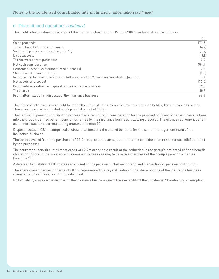# 6 Discontinued operations *continued*

The profit after taxation on disposal of the insurance business on 15 June 2007 can be analysed as follows:

|                                                                                          | £m            |
|------------------------------------------------------------------------------------------|---------------|
| Sales proceeds                                                                           | 170.5         |
| Termination of interest rate swaps                                                       | (6.9)         |
| Section 75 pension contribution (note 10)                                                | (3.4)         |
| Disposal costs                                                                           | [8.1]         |
| Tax recovered from purchaser                                                             | 2.0           |
| Net cash consideration                                                                   | 154.1         |
| Retirement benefit curtailment credit (note 10)                                          | 2.9           |
| Share-based payment charge                                                               | [0.6]         |
| Increase in retirement benefit asset following Section 75 pension contribution (note 10) | $3.4^{\circ}$ |
| Net assets on disposal                                                                   | (90.5)        |
| Profit before taxation on disposal of the insurance business                             | 69.3          |
| Tax charge                                                                               | [0.9]         |
| Profit after taxation on disposal of the insurance business                              | 68.4          |

The interest rate swaps were held to hedge the interest rate risk on the investment funds held by the insurance business. These swaps were terminated on disposal at a cost of £6.9m.

The Section 75 pension contribution represented a reduction in consideration for the payment of  $£3.4$ m of pension contributions into the group's defined benefit pension schemes by the insurance business following disposal. The group's retirement benefit asset increased by a corresponding amount (see note 10).

Disposal costs of £8.1m comprised professional fees and the cost of bonuses for the senior management team of the insurance business.

The tax recovered from the purchaser of £2.0m represented an adjustment to the consideration to reflect tax relief obtained by the purchaser.

The retirement benefit curtailment credit of £2.9m arose as a result of the reduction in the group's projected defined benefit obligation following the insurance business employees ceasing to be active members of the group's pension schemes (see note 10).

A deferred tax liability of £0.9m was recognised on the pension curtailment credit and the Section 75 pension contribution.

The share-based payment charge of £0.6m represented the crystallisation of the share options of the insurance business management team as a result of the disposal.

No tax liability arose on the disposal of the insurance business due to the availability of the Substantial Shareholdings Exemption.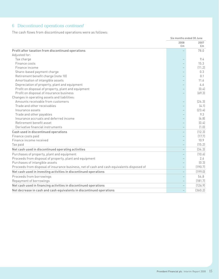# 6 Discontinued operations *continued*

The cash flows from discontinued operations were as follows:

|                                                                                            | Six months ended 30 June |         |
|--------------------------------------------------------------------------------------------|--------------------------|---------|
|                                                                                            | 2008                     | 2007    |
|                                                                                            | £ <sub>m</sub>           | Em      |
| Profit after taxation from discontinued operations                                         |                          | 78.0    |
| Adjusted for:                                                                              |                          |         |
| Tax charge                                                                                 |                          | 9.4     |
| Finance costs                                                                              |                          | 15.3    |
| Finance income                                                                             |                          | [11.2]  |
| Share-based payment charge                                                                 |                          | 0.3     |
| Retirement benefit charge (note 10)                                                        |                          | 0.1     |
| Amortisation of intangible assets                                                          |                          | 11.6    |
| Depreciation of property, plant and equipment                                              |                          | 4.6     |
| Profit on disposal of property, plant and equipment                                        |                          | [0.4]   |
| Profit on disposal of insurance business                                                   |                          | [69.3]  |
| Changes in operating assets and liabilities:                                               |                          |         |
| Amounts receivable from customers                                                          |                          | [24.3]  |
| Trade and other receivables                                                                |                          | (4.1)   |
| Insurance assets                                                                           |                          | [23.4]  |
| Trade and other payables                                                                   |                          | 9.3     |
| Insurance accruals and deferred income                                                     |                          | [6.8]   |
| Retirement benefit asset                                                                   |                          | [0, 4]  |
| Derivative financial instruments                                                           | $\qquad \qquad -$        | (1.0)   |
| Cash used in discontinued operations                                                       | $\qquad \qquad -$        | (12.3)  |
| Finance costs paid                                                                         | $\overline{\phantom{0}}$ | (17.7)  |
| Finance income received                                                                    |                          | 10.9    |
| Tax paid                                                                                   | $\overline{\phantom{a}}$ | (15.2)  |
| Net cash used in discontinued operating activities                                         | $\equiv$                 | [34.3]  |
| Purchases of property, plant and equipment                                                 | $\overline{\phantom{0}}$ | (10.6)  |
| Proceeds from disposal of property, plant and equipment                                    |                          | 2.6     |
| Purchases of intangible assets                                                             | -                        | [0.3]   |
| Proceeds from disposal of insurance business, net of cash and cash equivalents disposed of | $\overline{\phantom{0}}$ | (190.7) |
| Net cash used in investing activities in discontinued operations                           | $\equiv$                 | [199.0] |
| Proceeds from borrowings                                                                   | $\overline{\phantom{0}}$ | 54.8    |
| Repayment of borrowings                                                                    | $\overline{\phantom{0}}$ | (181.7) |
| Net cash used in financing activities in discontinued operations                           | $\overline{\phantom{0}}$ | [126.9] |
| Net decrease in cash and cash equivalents in discontinued operations                       | $\overline{a}$           | [360.2] |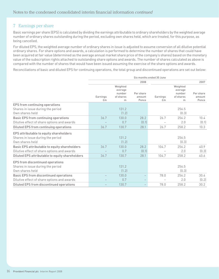# 7 Earnings per share

Basic earnings per share (EPS) is calculated by dividing the earnings attributable to ordinary shareholders by the weighted average number of ordinary shares outstanding during the period, excluding own shares held, which are treated, for this purpose, as being cancelled.

For diluted EPS, the weighted average number of ordinary shares in issue is adjusted to assume conversion of all dilutive potential ordinary shares. For share options and awards, a calculation is performed to determine the number of shares that could have been acquired at fair value (determined as the average annual market share price of the company's shares) based on the monetary value of the subscription rights attached to outstanding share options and awards. The number of shares calculated as above is compared with the number of shares that would have been issued assuming the exercise of the share options and awards.

Reconciliations of basic and diluted EPS for continuing operations, the total group and discontinued operations are set out below:

|                                                                                                 | Six months ended 30 June   |                                                 |                              |                |                                                 |                              |
|-------------------------------------------------------------------------------------------------|----------------------------|-------------------------------------------------|------------------------------|----------------|-------------------------------------------------|------------------------------|
|                                                                                                 |                            |                                                 | 2008                         |                |                                                 | 2007                         |
|                                                                                                 | Earnings<br>£ <sub>m</sub> | Weighted<br>average<br>number<br>of shares<br>m | Per share<br>amount<br>Pence | Earnings<br>Em | Weighted<br>average<br>number<br>of shares<br>m | Per share<br>amount<br>Pence |
| EPS from continuing operations                                                                  |                            |                                                 |                              |                |                                                 |                              |
| Shares in issue during the period                                                               |                            | 131.2                                           |                              |                | 256.5                                           |                              |
| Own shares held                                                                                 |                            | (1.2)                                           |                              |                | [0.3]                                           |                              |
| Basic EPS from continuing operations                                                            | 36.7                       | 130.0                                           | 28.2                         | 26.7           | 256.2                                           | 10.4                         |
| Dilutive effect of share options and awards                                                     |                            | 0.7                                             | [0.1]                        |                | 2.0                                             | [0.1]                        |
| Diluted EPS from continuing operations                                                          | 36.7                       | 130.7                                           | 28.1                         | 26.7           | 258.2                                           | 10.3                         |
| EPS attributable to equity shareholders<br>Shares in issue during the period<br>Own shares held |                            | 131.2<br>(1.2)                                  |                              |                | 256.5<br>[0.3]                                  |                              |
| Basic EPS attributable to equity shareholders                                                   | 36.7                       | 130.0                                           | 28.2                         | 104.7          | 256.2                                           | 40.9                         |
| Dilutive effect of share options and awards                                                     |                            | 0.7                                             | (0.1)                        |                | 2.0                                             | [0.3]                        |
| Diluted EPS attributable to equity shareholders                                                 | 36.7                       | 130.7                                           | 28.1                         | 104.7          | 258.2                                           | 40.6                         |
| EPS from discontinued operations<br>Shares in issue during the period<br>Own shares held        |                            | 131.2<br>(1.2)                                  |                              |                | 256.5<br>[0.3]                                  |                              |
| <b>Basic EPS from discontinued operations</b>                                                   |                            | 130.0                                           |                              | 78.0           | 256.2                                           | 30.4                         |
| Dilutive effect of share options and awards                                                     |                            | 0.7                                             |                              |                | 2.0                                             | [0.2]                        |
| Diluted EPS from discontinued operations                                                        |                            | 130.7                                           |                              | 78.0           | 258.2                                           | 30.2                         |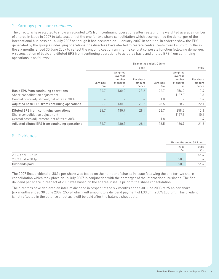# 7 Earnings per share *continued*

The directors have elected to show an adjusted EPS from continuing operations after restating the weighted average number of shares in issue in 2007 to take account of the one for two share consolidation which accompanied the demerger of the international business on 16 July 2007 as though it had occurred on 1 January 2007. In addition, in order to show the EPS generated by the group's underlying operations, the directors have elected to restate central costs from £4.5m to £2.0m in the six months ended 30 June 2007 to reflect the ongoing cost of running the central corporate function following demerger. A reconciliation of basic and diluted EPS from continuing operations to adjusted basic and diluted EPS from continuing operations is as follows:

|                                                 |                | Six months ended 30 June                        |                              |                                                                           |                                                 |                              |
|-------------------------------------------------|----------------|-------------------------------------------------|------------------------------|---------------------------------------------------------------------------|-------------------------------------------------|------------------------------|
|                                                 |                |                                                 | 2008                         |                                                                           |                                                 | 2007                         |
|                                                 | Earnings<br>£m | Weighted<br>average<br>number<br>of shares<br>m | Per share<br>amount<br>Pence | Earnings<br>Em                                                            | Weighted<br>average<br>number<br>of shares<br>m | Per share<br>amount<br>Pence |
| Basic EPS from continuing operations            | 36.7           | 130.0                                           | 28.2                         | 26.7                                                                      | 256.2                                           | 10.4                         |
| Share consolidation adjustment                  |                |                                                 |                              | $\hspace{1.0cm} \rule{1.5cm}{0.15cm} \hspace{1.0cm} \rule{1.5cm}{0.15cm}$ | [127.3]                                         | 10.3                         |
| Central costs adjustment, net of tax at 30%     |                |                                                 |                              | 1.8                                                                       |                                                 | 1.4                          |
| Adjusted basic EPS from continuing operations   | 36.7           | 130.0                                           | 28.2                         | 28.5                                                                      | 128.9                                           | 22.1                         |
| Diluted EPS from continuing operations          | 36.7           | 130.7                                           | 28.1                         | 26.7                                                                      | 258.2                                           | 10.3                         |
| Share consolidation adjustment                  |                |                                                 |                              |                                                                           | [127.3]                                         | 10.1                         |
| Central costs adjustment, net of tax at 30%     |                |                                                 |                              | 1.8                                                                       |                                                 | 1.4                          |
| Adjusted diluted EPS from continuing operations | 36.7           | 130.7                                           | 28.1                         | 28.5                                                                      | 130.9                                           | 21.8                         |

## 8 Dividends

|                       | Six months ended 30 June |            |
|-----------------------|--------------------------|------------|
|                       | 2008<br>£m               | 2007<br>£m |
| $2006$ final $-22.0p$ | $\overline{\phantom{a}}$ | 56.4       |
| $2007$ final $-38.1p$ | 50.0                     | $\sim$     |
| Dividends paid        | 50.0                     | 56.4       |

The 2007 final dividend of 38.1p per share was based on the number of shares in issue following the one for two share consolidation which took place on 16 July 2007 in conjunction with the demerger of the international business. The final dividend per share in respect of 2006 was based on the shares in issue prior to the share consolidation.

The directors have declared an interim dividend in respect of the six months ended 30 June 2008 of 25.4p per share (six months ended 30 June 2007: 25.4p) which will amount to a dividend payment of £33.3m (2007: £33.0m). This dividend is not reflected in the balance sheet as it will be paid after the balance sheet date.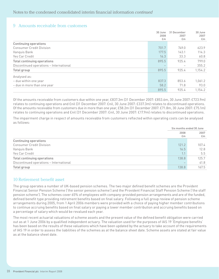#### 9 Amounts receivable from customers

|                                         | 30 June<br>2008          | 31 December<br>2007 | 30 June<br>2007 |
|-----------------------------------------|--------------------------|---------------------|-----------------|
|                                         | £m                       | £m                  | £m              |
| <b>Continuing operations</b>            |                          |                     |                 |
| <b>Consumer Credit Division</b>         | 701.7                    | 749.0               | 623.9           |
| Vanquis Bank                            | 177.5                    | 143.1               | 114.3           |
| Yes Car Credit                          | 16.3                     | 33.3                | 60.8            |
| Total continuing operations             | 895.5                    | 925.4               | 799.0           |
| Discontinued operations - International | $\overline{\phantom{0}}$ | -                   | 355.2           |
| Total group                             | 895.5                    | 925.4               | 1,154.2         |
| Analysed as:                            |                          |                     |                 |
| - due within one year                   | 837.3                    | 853.6               | 1,061.2         |
| - due in more than one year             | 58.2                     | 71.8                | 93.0            |
|                                         | 895.5                    | 925.4               | 1.154.2         |

Of the amounts receivable from customers due within one year, £837.3m (31 December 2007: £853.6m, 30 June 2007: £723.9m) relates to continuing operations and £nil (31 December 2007: £nil, 30 June 2007: £337.3m) relates to discontinued operations. Of the amounts receivable from customers due in more than one year, £58.2m (31 December 2007: £71.8m, 30 June 2007: £75.1m) relates to continuing operations and £nil (31 December 2007: £nil, 30 June 2007: £17.9m) relates to discontinued operations.

The impairment charge in respect of amounts receivable from customers reflected within operating costs can be analysed as follows:

|                                         | Six months ended 30 June     |       |  |
|-----------------------------------------|------------------------------|-------|--|
|                                         | 2008                         | 2007  |  |
|                                         | £m                           | £m    |  |
| Continuing operations                   |                              |       |  |
| <b>Consumer Credit Division</b>         | 121.2                        | 107.4 |  |
| Vanguis Bank                            | 16.5                         | 12.8  |  |
| Yes Car Credit                          | 1.1                          | 5.5   |  |
| Total continuing operations             | 138.8                        | 125.7 |  |
| Discontinued operations - International | $\qquad \qquad \blacksquare$ | 41.8  |  |
| Total group                             | 138.8                        | 167.5 |  |

# 10 Retirement benefit asset

The group operates a number of UK-based pension schemes. The two major defined benefit schemes are the Provident Financial Senior Pension Scheme ('the senior pension scheme') and the Provident Financial Staff Pension Scheme ('the staff pension scheme'). The schemes cover 65% of employees with company-provided pension arrangements and are of the funded, defined benefit type providing retirement benefits based on final salary. Following a full group review of pension scheme arrangements during 2005, from 1 April 2006 members were provided with a choice of paying higher member contributions to continue accruing benefits based on final salary or paying a lower member contribution and accruing benefits based on a percentage of salary which would be revalued each year.

The most recent actuarial valuations of scheme assets and the present value of the defined benefit obligation were carried out as at 1 June 2006 by a qualified independent actuary. The valuation used for the purposes of IAS 19 'Employee benefits' has been based on the results of these valuations which have been updated by the actuary to take account of the requirements of IAS 19 in order to assess the liabilities of the schemes as at the balance sheet date. Scheme assets are stated at fair value as at the balance sheet date.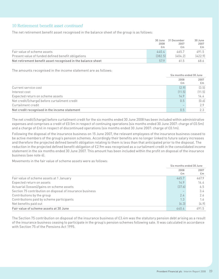# 10 Retirement benefit asset *continued*

The net retirement benefit asset recognised in the balance sheet of the group is as follows:

|                                                              | 30 June<br>2008 | 31 December<br>2007 | 30 June<br>2007 |
|--------------------------------------------------------------|-----------------|---------------------|-----------------|
|                                                              | £m              | £m                  | £m              |
| Fair value of scheme assets                                  | 440.4           | 465.7               | 491.5           |
| Present value of funded defined benefit obligations          | [382.5]         | [404.2]             | [422.9]         |
| Net retirement benefit asset recognised in the balance sheet | 57.9            | 61.5                | 68.6            |

The amounts recognised in the income statement are as follows:

|                                               | Six months ended 30 June |            |  |
|-----------------------------------------------|--------------------------|------------|--|
|                                               | 2008<br>£m               | 2007<br>£m |  |
| Current service cost                          | [2.9]                    | [3.5]      |  |
| Interest cost                                 | (11.5)                   | (11.5)     |  |
| Expected return on scheme assets              | 14.9                     | 14.4       |  |
| Net credit/(charge) before curtailment credit | 0.5                      | [0.6]      |  |
| Curtailment credit                            |                          | 2.9        |  |
| Net credit recognised in the income statement | 0.5                      | 2.3        |  |

The net credit/(charge) before curtailment credit for the six months ended 30 June 2008 has been included within administrative expenses and comprises a credit of £0.5m in respect of continuing operations (six months ended 30 June 2007: charge of £0.5m) and a charge of £nil in respect of discontinued operations (six months ended 30 June 2007: charge of £0.1m).

Following the disposal of the insurance business on 15 June 2007, the relevant employees of the insurance business ceased to be active members of the group's pension schemes. Accordingly their benefits are no longer linked to future salary increases and therefore the projected defined benefit obligation relating to them is less than that anticipated prior to the disposal. The reduction in the projected defined benefit obligation of £2.9m was recognised as a curtailment credit in the consolidated income statement in the six months ended 30 June 2007. This amount has been included within the profit on disposal of the insurance business (see note 6).

Movements in the fair value of scheme assets were as follows:

|                                                           | Six months ended 30 June |            |
|-----------------------------------------------------------|--------------------------|------------|
|                                                           | 2008<br>Em               | 2007<br>£m |
| Fair value of scheme assets at 1 January                  | 465.7                    | 467.9      |
| Expected return on assets                                 | 14.9                     | 14.4       |
| Actuarial (losses)/gains on scheme assets                 | [37.6]                   | 6.5        |
| Section 75 contribution on disposal of insurance business |                          | 3.4        |
| Contributions by the group                                | 2.4                      | 2.6        |
| Contributions paid by scheme participants                 | 1.3                      | 1.6        |
| Net benefits paid out                                     | [6.3]                    | (4.9)      |
| Fair value of scheme assets at 30 June                    | 440.4                    | 491.5      |

The Section 75 contribution on disposal of the insurance business of £3.4m was the statutory pension debt arising as a result of the insurance business ceasing to participate in the group's pension schemes following sale. It was calculated in accordance with Section 75 of the Pensions Act 1995.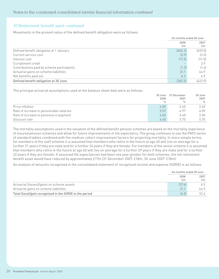# 10 Retirement benefit asset *continued*

Movements in the present value of the defined benefit obligation were as follows:

|                                           | Six months ended 30 June |            |
|-------------------------------------------|--------------------------|------------|
|                                           | 2008<br>£m               | 2007<br>£m |
| Defined benefit obligation at 1 January   | [404.2]                  | (459.0)    |
| Current service cost                      | [2.9]                    | [3.5]      |
| Interest cost                             | (11.5)                   | (11.5)     |
| Curtailment credit                        |                          | 2.9        |
| Contributions paid by scheme participants | (1.3)                    | (1.6)      |
| Actuarial gains on scheme liabilities     | 31.1                     | 44.9       |
| Net benefits paid out                     | 6.3                      | 4.9        |
| Defined benefit obligation at 30 June     | [382.5]                  | [422.9]    |

The principal actuarial assumptions used at the balance sheet date were as follows:

|                                          | 2008<br>$\frac{0}{0}$ | 30 June 31 December<br>2007<br>$\%$ | 30 June<br>2007<br>$\frac{0}{0}$ |
|------------------------------------------|-----------------------|-------------------------------------|----------------------------------|
|                                          |                       |                                     |                                  |
|                                          |                       |                                     |                                  |
| Price inflation                          | 4.00                  | 3.40                                | 3.40                             |
| Rate of increase in pensionable salaries | 5.57                  | 4.97                                | 4.90                             |
| Rate of increase to pensions in payment  | 4.00                  | 3.40                                | 3.30                             |
| Discount rate                            | 6.40                  | 5.70                                | 5.70                             |

The mortality assumptions used in the valuation of the defined benefit pension schemes are based on the mortality experience of insured pension schemes and allow for future improvements in life expectancy. The group continues to use the PA92 series of standard tables combined with the medium cohort improvement factors for projecting mortality. In more simple terms, for members of the staff scheme it is assumed that members who retire in the future at age 65 will live on average for a further 21 years if they are male and for a further 24 years if they are female. For members of the senior scheme it is assumed that members who retire in the future at age 60 will live on average for a further 29 years if they are male and for a further 32 years if they are female. If assumed life expectancies had been one year greater for both schemes, the net retirement benefit asset would have reduced by approximately £17m (31 December 2007: £18m, 30 June 2007: £18m).

An analysis of amounts recognised in the consolidated statement of recognised income and expense (SORIE) is as follows:

|                                                         | Six months ended 30 June |            |
|---------------------------------------------------------|--------------------------|------------|
|                                                         | 2008<br>£m               | 2007<br>£m |
| Actuarial (losses)/gains on scheme assets               | [37.6]                   | 6.5        |
| Actuarial gains on scheme liabilities                   | 311                      | 44.9       |
| Total (loss)/gain recognised in the SORIE in the period | [6.5]                    | 51.4       |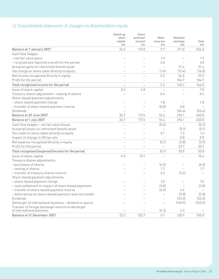# 11 Consolidated statement of changes in shareholders' equity

|                                                                               | Called-up<br>share<br>capital<br>£m | Share<br>premium<br>account<br>£m | Other<br>reserves<br>£m  | Retained<br>earnings<br>£m | Total<br>£m              |
|-------------------------------------------------------------------------------|-------------------------------------|-----------------------------------|--------------------------|----------------------------|--------------------------|
| Balance at 1 January 2007                                                     | 26.5                                | 110.8                             | 5.7                      | 211.0                      | 354.0                    |
| Cash flow hedges:                                                             |                                     |                                   |                          |                            |                          |
| - net fair value gains                                                        |                                     |                                   | 1.9                      |                            | 1.9                      |
| - recycled and reported in profit for the period                              |                                     |                                   | 2.8                      | L.                         | 2.8                      |
| Actuarial gains on retirement benefit asset                                   |                                     |                                   | $\equiv$                 | 51.4                       | 51.4                     |
| Tax charge on items taken directly to equity                                  |                                     |                                   | (1.4)                    | (15.4)                     | (16.8)                   |
| Net income recognised directly in equity                                      | $\overline{a}$                      | L.                                | 3.3                      | 36.0                       | 39.3                     |
| Profit for the period                                                         | ÷                                   | Ξ                                 | $\overline{\phantom{a}}$ | 104.7                      | 104.7                    |
| Total recognised income for the period                                        | $\qquad \qquad -$                   | $\qquad \qquad -$                 | 3.3                      | 140.7                      | 144.0                    |
| Issue of share capital                                                        | 0.2                                 | 6.8                               |                          |                            | 7.0                      |
| Treasury shares adjustment - vesting of shares                                | $\overline{\phantom{0}}$            | L.                                | 0.4                      |                            | 0.4                      |
| Share-based payment adjustments:                                              |                                     |                                   |                          |                            |                          |
| - share-based payment charge                                                  |                                     |                                   | 1.8                      |                            | 1.8                      |
| - transfer of share-based payment reserve                                     |                                     |                                   | [0.8]                    | 0.8                        |                          |
| Dividends                                                                     |                                     | $\equiv$                          | $\equiv$                 | [56.4]                     | [56.4]                   |
| Balance at 30 June 2007                                                       | 26.7                                | 117.6                             | 10.4                     | 296.1                      | 450.8                    |
| Balance at 1 July 2007                                                        | 26.7                                | 117.6                             | 10.4                     | 296.1                      | 450.8                    |
| Cash flow hedges - net fair value losses                                      |                                     | $\overline{a}$                    | (0.2)                    | $\overline{a}$             | (0.2)                    |
| Actuarial losses on retirement benefit asset                                  |                                     |                                   | Ĭ.                       | (5.1)                      | (5.1)                    |
| Tax credit on items taken directly to equity                                  |                                     |                                   | 0.1                      | 1.5                        | 1.6                      |
| Impact of change in UK tax rate                                               |                                     | $\overline{\phantom{0}}$          | $\overline{a}$           | 0.8                        | 0.8                      |
| Net expense recognised directly in equity                                     | L.                                  | $\overline{\phantom{0}}$          | (0.1)                    | (2.8)                      | (2.9)                    |
| Profit for the period                                                         | $\equiv$                            | $\equiv$                          | $\overline{\phantom{a}}$ | 33.7                       | 33.7                     |
| Total recognised (expense)/income for the period                              | $\equiv$                            | $\overline{a}$                    | (0.1)                    | 30.9                       | 30.8                     |
| Issue of share capital                                                        | 0.5                                 | 15.1                              | $\overline{a}$           | L.                         | 15.6                     |
| Treasury shares adjustments:                                                  |                                     |                                   |                          |                            |                          |
| - purchases of shares                                                         |                                     |                                   | [6.5]                    | $\qquad \qquad -$          | (6.5)                    |
| - vesting of shares                                                           |                                     |                                   | 1.7                      |                            | 1.7                      |
| - transfer of treasury shares reserve                                         |                                     |                                   | 2.6                      | (2.6)                      |                          |
| Share-based payment adjustments:                                              |                                     |                                   |                          |                            |                          |
| - share-based payment charge                                                  |                                     |                                   | 7.0                      | $\overline{\phantom{0}}$   | 7.0                      |
| - cash settlement in respect of share-based payments                          |                                     |                                   | [3.8]                    | $\overline{\phantom{0}}$   | (3.8)                    |
| - transfer of share-based payment reserve                                     |                                     | $\overline{a}$                    | (4.9)                    | 4.9                        | $\overline{\phantom{a}}$ |
| - deferred tax on share-based payment reserve transfer                        |                                     | $\overline{a}$                    | $\equiv$                 | [0.8]                      | [0.8]                    |
| Dividends                                                                     |                                     |                                   | L.                       | (33.0)                     | (33.0)                   |
| Demerger of international business - dividend in specie                       |                                     |                                   | ÷                        | (165.9)                    | (165.9)                  |
| Transfer of foreign exchange reserve on demerger<br>of international business |                                     |                                   | (6.3)                    | 6.3                        |                          |
| Balance at 31 December 2007                                                   | 27.2                                | 132.7                             | 0.1                      | 135.9                      | 295.9                    |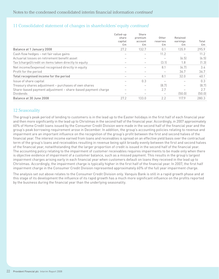|                                                             | Called-up<br>share<br>capital<br>£m | Share<br>premium<br>account<br>£m | Other<br>reserves<br>£m  | Retained<br>earnings<br>£m | Total<br>£m |
|-------------------------------------------------------------|-------------------------------------|-----------------------------------|--------------------------|----------------------------|-------------|
| Balance at 1 January 2008                                   | 27.2                                | 132.7                             | 0.1                      | 135.9                      | 295.9       |
| Cash flow hedges - net fair value gains                     |                                     |                                   | 11.2                     |                            | 11.2        |
| Actuarial losses on retirement benefit asset                |                                     |                                   | $\overline{\phantom{m}}$ | (6.5)                      | (6.5)       |
| Tax (charge)/credit on items taken directly to equity       |                                     |                                   | (3.1)                    | 1.8                        | (1.3)       |
| Net income/(expense) recognised directly in equity          |                                     |                                   | 8.1                      | [4.7]                      | 3.4         |
| Profit for the period                                       |                                     |                                   | $\qquad \qquad -$        | 36.7                       | 36.7        |
| Total recognised income for the period                      | -                                   |                                   | 8.1                      | 32.0                       | 40.1        |
| Issue of share capital                                      |                                     | 0.3                               |                          |                            | 0.3         |
| Treasury shares adjustment - purchases of own shares        |                                     |                                   | [8.7]                    | $\overline{\phantom{0}}$   | [8.7]       |
| Share-based payment adjustment - share-based payment charge |                                     |                                   | 2.7                      | $\overline{\phantom{0}}$   | 2.7         |
| Dividends                                                   |                                     |                                   | $\overline{\phantom{m}}$ | (50.0)                     | (50.0)      |
| Balance at 30 June 2008                                     | 27.2                                | 133.0                             | 2.2                      | 117.9                      | 280.3       |

# 11 Consolidated statement of changes in shareholders' equity *continued*

# 12 Seasonality

The group's peak period of lending to customers is in the lead up to the Easter holidays in the first half of each financial year and then more significantly in the lead up to Christmas in the second half of the financial year. Accordingly, in 2007 approximately 60% of Home Credit loans issued by the Consumer Credit Division were made in the second half of the financial year and the group's peak borrowing requirement arose in December. In addition, the group's accounting policies relating to revenue and impairment are an important influence on the recognition of the group's profit between the first and second halves of the financial year. The interest income earned from loans and receivables is spread on an effective yield basis over the contractual term of the group's loans and receivables resulting in revenue being split broadly evenly between the first and second halves of the financial year, notwithstanding that the larger proportion of credit is issued in the second half of the financial year. The accounting policy relating to the impairment of customer receivables requires impairments to be made only when there is objective evidence of impairment of a customer balance, such as a missed payment. This results in the group's largest impairment charges arising early in each financial year when customers default on loans they received in the lead up to Christmas. Accordingly, the impairment charge is typically higher in the first half of the financial year. In 2007, the first half impairment charge in the Consumer Credit Division represented approximately 60% of the full year impairment charge.

The analysis set out above relates to the Consumer Credit Division only. Vanquis Bank is still in a rapid growth phase and at this stage of its development the influence of its rapid growth has a much more significant influence on the profits reported by the business during the financial year than the underlying seasonality.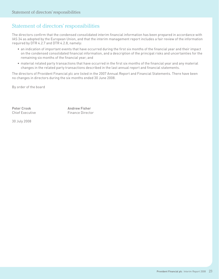# Statement of directors' responsibilities

The directors confirm that the condensed consolidated interim financial information has been prepared in accordance with IAS 34 as adopted by the European Union, and that the interim management report includes a fair review of the information required by DTR 4.2.7 and DTR 4.2.8, namely:

- an indication of important events that have occurred during the first six months of the financial year and their impact on the condensed consolidated financial information, and a description of the principal risks and uncertainties for the remaining six months of the financial year; and
- material related party transactions that have occurred in the first six months of the financial year and any material changes in the related party transactions described in the last annual report and financial statements.

The directors of Provident Financial plc are listed in the 2007 Annual Report and Financial Statements. There have been no changes in directors during the six months ended 30 June 2008.

By order of the board

Peter Crook Andrew Fisher

Chief Executive Finance Director

30 July 2008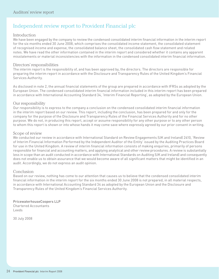# Independent review report to Provident Financial plc

#### Introduction

We have been engaged by the company to review the condensed consolidated interim financial information in the interim report for the six months ended 30 June 2008, which comprises the consolidated income statement, the consolidated statement of recognised income and expense, the consolidated balance sheet, the consolidated cash flow statement and related notes. We have read the other information contained in the interim report and considered whether it contains any apparent misstatements or material inconsistencies with the information in the condensed consolidated interim financial information.

#### Directors' responsibilities

The interim report is the responsibility of, and has been approved by, the directors. The directors are responsible for preparing the interim report in accordance with the Disclosure and Transparency Rules of the United Kingdom's Financial Services Authority.

As disclosed in note 2, the annual financial statements of the group are prepared in accordance with IFRSs as adopted by the European Union. The condensed consolidated interim financial information included in this interim report has been prepared in accordance with International Accounting Standard 34, 'Interim Financial Reporting', as adopted by the European Union.

#### Our responsibility

Our responsibility is to express to the company a conclusion on the condensed consolidated interim financial information in the interim report based on our review. This report, including the conclusion, has been prepared for and only for the company for the purpose of the Disclosure and Transparency Rules of the Financial Services Authority and for no other purpose. We do not, in producing this report, accept or assume responsibility for any other purpose or to any other person to whom this report is shown or into whose hands it may come save where expressly agreed by our prior consent in writing.

#### Scope of review

We conducted our review in accordance with International Standard on Review Engagements (UK and Ireland) 2410, 'Review of Interim Financial Information Performed by the Independent Auditor of the Entity' issued by the Auditing Practices Board for use in the United Kingdom. A review of interim financial information consists of making enquiries, primarily of persons responsible for financial and accounting matters, and applying analytical and other review procedures. A review is substantially less in scope than an audit conducted in accordance with International Standards on Auditing (UK and Ireland) and consequently does not enable us to obtain assurance that we would become aware of all significant matters that might be identified in an audit. Accordingly, we do not express an audit opinion.

#### Conclusion

Based on our review, nothing has come to our attention that causes us to believe that the condensed consolidated interim financial information in the interim report for the six months ended 30 June 2008 is not prepared, in all material respects, in accordance with International Accounting Standard 34 as adopted by the European Union and the Disclosure and Transparency Rules of the United Kingdom's Financial Services Authority.

#### PricewaterhouseCoopers LLP Chartered Accountants Leeds

30 July 2008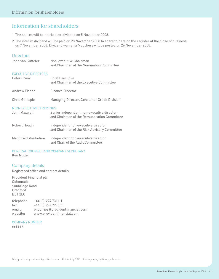# Information for shareholders

- 1 The shares will be marked ex-dividend on 5 November 2008.
- 2 The interim dividend will be paid on 28 November 2008 to shareholders on the register at the close of business on 7 November 2008. Dividend warrants/vouchers will be posted on 26 November 2008.

#### **Directors**

| John van Kuffeler   | Non-executive Chairman                   |
|---------------------|------------------------------------------|
|                     | and Chairman of the Nomination Committee |
| EXECUTIVE DIRECTORS |                                          |

| $\Box$ AT UU LIVI TIINI UTUUN.<br>Peter Crook | <b>Chief Executive</b><br>and Chairman of the Executive Committee                       |
|-----------------------------------------------|-----------------------------------------------------------------------------------------|
| Andrew Fisher                                 | Finance Director                                                                        |
| <b>Chris Gillespie</b>                        | Managing Director, Consumer Credit Division                                             |
| NON-EXECUTIVE DIRECTORS<br>John Maxwell       | Senior independent non-executive director<br>and Chairman of the Remuneration Committee |
| Robert Hough                                  | Independent non-executive director                                                      |

- and Chairman of the Risk Advisory Committee
- Manjit Wolstenholme Independent non-executive director and Chair of the Audit Committee

#### GENERAL COUNSEL AND COMPANY SECRETARY

Ken Mullen

# Company details

Registered office and contact details:

Provident Financial plc Colonnade Sunbridge Road Bradford BD1 2LQ

telephone: +44 (0)1274 731111 fax: +44 (0)1274 727300 email: enquiries@providentfinancial.com website: www.providentfinancial.com

#### COMPANY NUMBER

668987